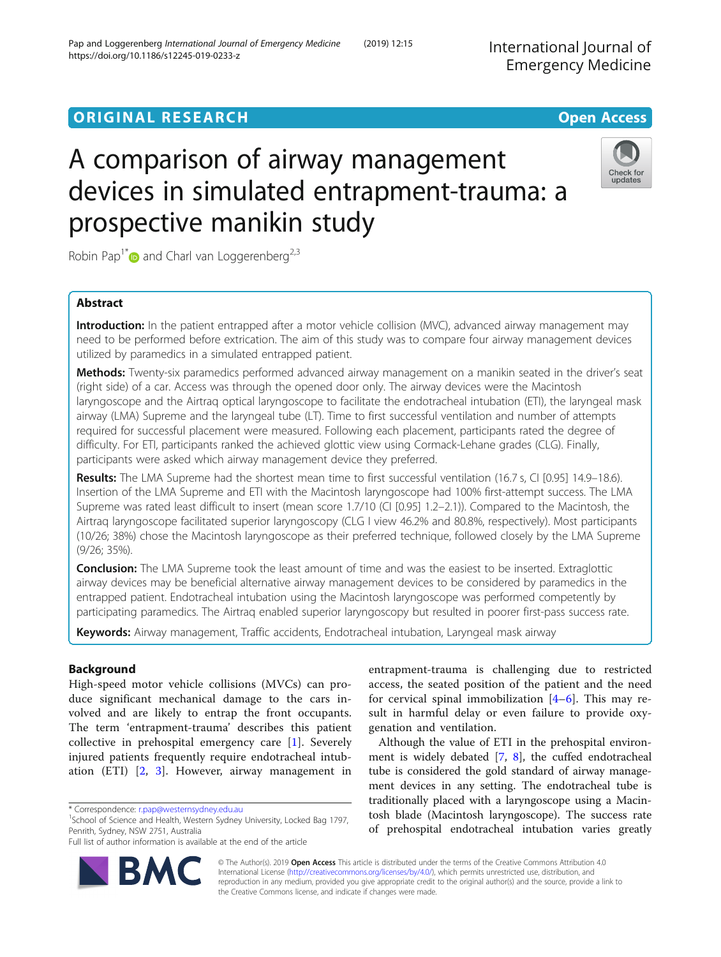# **ORIGINAL RESEARCH CONFIDENTIAL CONFIDENTIAL CONFIDENTIAL CONFIDENTIAL CONFIDENTIAL CONFIDENTIAL CONFIDENTIAL CONFIDENTIAL CONFIDENTIAL CONFIDENTIAL CONFIDENTIAL CONFIDENTIAL CONFIDENTIAL CONFIDENTIAL CONFIDENTIAL CONFIDEN**

# A comparison of airway management devices in simulated entrapment-trauma: a prospective manikin study



Robin Pap<sup>1[\\*](http://orcid.org/0000-0002-7058-0341)</sup> $\bullet$  and Charl van Loggerenberg<sup>2,3</sup>

# Abstract

Introduction: In the patient entrapped after a motor vehicle collision (MVC), advanced airway management may need to be performed before extrication. The aim of this study was to compare four airway management devices utilized by paramedics in a simulated entrapped patient.

Methods: Twenty-six paramedics performed advanced airway management on a manikin seated in the driver's seat (right side) of a car. Access was through the opened door only. The airway devices were the Macintosh laryngoscope and the Airtraq optical laryngoscope to facilitate the endotracheal intubation (ETI), the laryngeal mask airway (LMA) Supreme and the laryngeal tube (LT). Time to first successful ventilation and number of attempts required for successful placement were measured. Following each placement, participants rated the degree of difficulty. For ETI, participants ranked the achieved glottic view using Cormack-Lehane grades (CLG). Finally, participants were asked which airway management device they preferred.

Results: The LMA Supreme had the shortest mean time to first successful ventilation (16.7 s, CI [0.95] 14.9–18.6). Insertion of the LMA Supreme and ETI with the Macintosh laryngoscope had 100% first-attempt success. The LMA Supreme was rated least difficult to insert (mean score 1.7/10 (CI [0.95] 1.2–2.1)). Compared to the Macintosh, the Airtraq laryngoscope facilitated superior laryngoscopy (CLG I view 46.2% and 80.8%, respectively). Most participants (10/26; 38%) chose the Macintosh laryngoscope as their preferred technique, followed closely by the LMA Supreme (9/26; 35%).

Conclusion: The LMA Supreme took the least amount of time and was the easiest to be inserted. Extraglottic airway devices may be beneficial alternative airway management devices to be considered by paramedics in the entrapped patient. Endotracheal intubation using the Macintosh laryngoscope was performed competently by participating paramedics. The Airtraq enabled superior laryngoscopy but resulted in poorer first-pass success rate.

Keywords: Airway management, Traffic accidents, Endotracheal intubation, Laryngeal mask airway

## Background

High-speed motor vehicle collisions (MVCs) can produce significant mechanical damage to the cars involved and are likely to entrap the front occupants. The term 'entrapment-trauma' describes this patient collective in prehospital emergency care [[1\]](#page-6-0). Severely injured patients frequently require endotracheal intubation (ETI) [\[2](#page-6-0), [3\]](#page-6-0). However, airway management in



Although the value of ETI in the prehospital environment is widely debated [\[7,](#page-6-0) [8\]](#page-6-0), the cuffed endotracheal tube is considered the gold standard of airway management devices in any setting. The endotracheal tube is traditionally placed with a laryngoscope using a Macintosh blade (Macintosh laryngoscope). The success rate of prehospital endotracheal intubation varies greatly



© The Author(s). 2019 Open Access This article is distributed under the terms of the Creative Commons Attribution 4.0 International License [\(http://creativecommons.org/licenses/by/4.0/](http://creativecommons.org/licenses/by/4.0/)), which permits unrestricted use, distribution, and reproduction in any medium, provided you give appropriate credit to the original author(s) and the source, provide a link to the Creative Commons license, and indicate if changes were made.

<sup>\*</sup> Correspondence: [r.pap@westernsydney.edu.au](mailto:r.pap@westernsydney.edu.au) <sup>1</sup>

<sup>&</sup>lt;sup>1</sup>School of Science and Health, Western Sydney University, Locked Bag 1797, Penrith, Sydney, NSW 2751, Australia

Full list of author information is available at the end of the article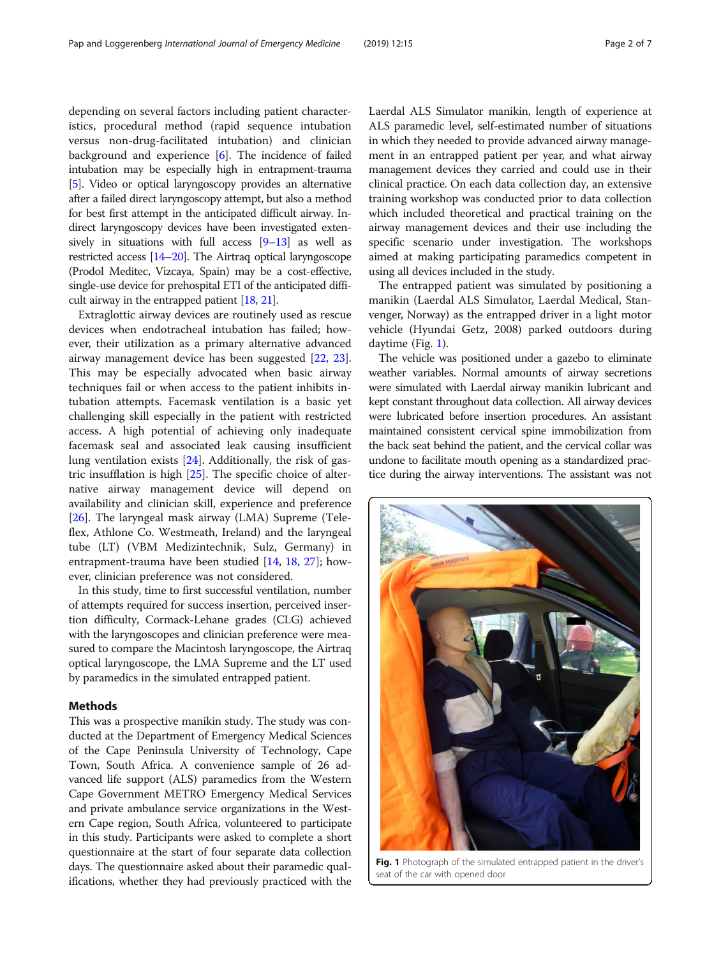depending on several factors including patient characteristics, procedural method (rapid sequence intubation versus non-drug-facilitated intubation) and clinician background and experience [[6\]](#page-6-0). The incidence of failed intubation may be especially high in entrapment-trauma [[5](#page-6-0)]. Video or optical laryngoscopy provides an alternative after a failed direct laryngoscopy attempt, but also a method for best first attempt in the anticipated difficult airway. Indirect laryngoscopy devices have been investigated extensively in situations with full access [\[9](#page-6-0)–[13](#page-6-0)] as well as restricted access [[14](#page-6-0)–[20](#page-6-0)]. The Airtraq optical laryngoscope (Prodol Meditec, Vizcaya, Spain) may be a cost-effective, single-use device for prehospital ETI of the anticipated difficult airway in the entrapped patient [[18](#page-6-0), [21](#page-6-0)].

Extraglottic airway devices are routinely used as rescue devices when endotracheal intubation has failed; however, their utilization as a primary alternative advanced airway management device has been suggested [[22](#page-6-0), [23](#page-6-0)]. This may be especially advocated when basic airway techniques fail or when access to the patient inhibits intubation attempts. Facemask ventilation is a basic yet challenging skill especially in the patient with restricted access. A high potential of achieving only inadequate facemask seal and associated leak causing insufficient lung ventilation exists [[24\]](#page-6-0). Additionally, the risk of gastric insufflation is high [[25\]](#page-6-0). The specific choice of alternative airway management device will depend on availability and clinician skill, experience and preference [[26\]](#page-6-0). The laryngeal mask airway (LMA) Supreme (Teleflex, Athlone Co. Westmeath, Ireland) and the laryngeal tube (LT) (VBM Medizintechnik, Sulz, Germany) in entrapment-trauma have been studied [[14](#page-6-0), [18,](#page-6-0) [27](#page-6-0)]; however, clinician preference was not considered.

In this study, time to first successful ventilation, number of attempts required for success insertion, perceived insertion difficulty, Cormack-Lehane grades (CLG) achieved with the laryngoscopes and clinician preference were measured to compare the Macintosh laryngoscope, the Airtraq optical laryngoscope, the LMA Supreme and the LT used by paramedics in the simulated entrapped patient.

#### Methods

This was a prospective manikin study. The study was conducted at the Department of Emergency Medical Sciences of the Cape Peninsula University of Technology, Cape Town, South Africa. A convenience sample of 26 advanced life support (ALS) paramedics from the Western Cape Government METRO Emergency Medical Services and private ambulance service organizations in the Western Cape region, South Africa, volunteered to participate in this study. Participants were asked to complete a short questionnaire at the start of four separate data collection days. The questionnaire asked about their paramedic qualifications, whether they had previously practiced with the Laerdal ALS Simulator manikin, length of experience at ALS paramedic level, self-estimated number of situations in which they needed to provide advanced airway management in an entrapped patient per year, and what airway management devices they carried and could use in their clinical practice. On each data collection day, an extensive training workshop was conducted prior to data collection which included theoretical and practical training on the airway management devices and their use including the specific scenario under investigation. The workshops aimed at making participating paramedics competent in using all devices included in the study.

The entrapped patient was simulated by positioning a manikin (Laerdal ALS Simulator, Laerdal Medical, Stanvenger, Norway) as the entrapped driver in a light motor vehicle (Hyundai Getz, 2008) parked outdoors during daytime (Fig. 1).

The vehicle was positioned under a gazebo to eliminate weather variables. Normal amounts of airway secretions were simulated with Laerdal airway manikin lubricant and kept constant throughout data collection. All airway devices were lubricated before insertion procedures. An assistant maintained consistent cervical spine immobilization from the back seat behind the patient, and the cervical collar was undone to facilitate mouth opening as a standardized practice during the airway interventions. The assistant was not



Fig. 1 Photograph of the simulated entrapped patient in the driver's seat of the car with opened door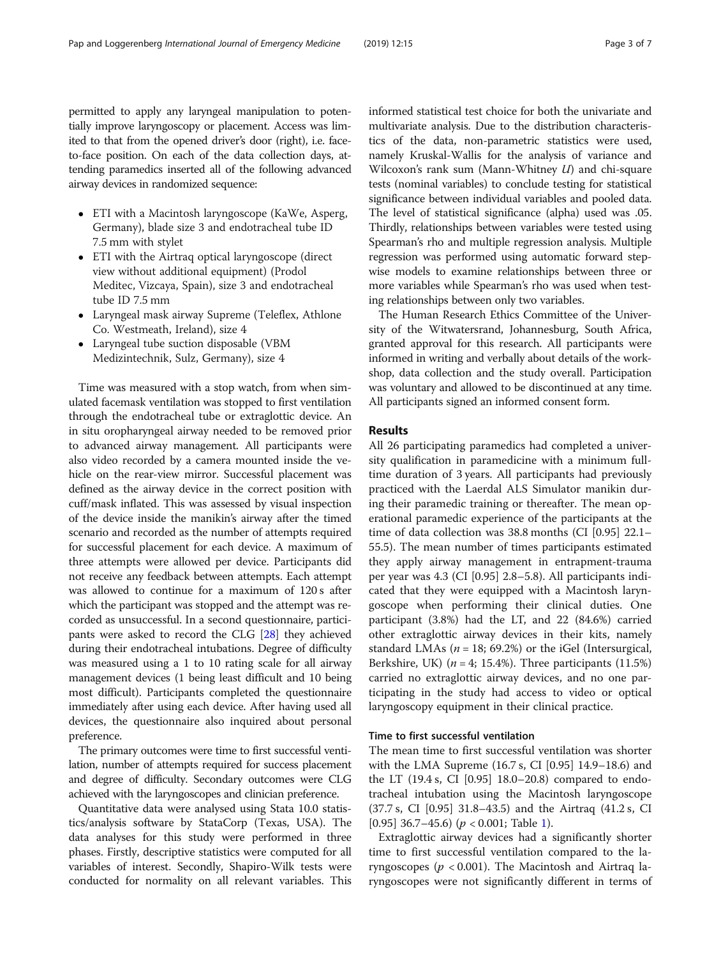permitted to apply any laryngeal manipulation to potentially improve laryngoscopy or placement. Access was limited to that from the opened driver's door (right), i.e. faceto-face position. On each of the data collection days, attending paramedics inserted all of the following advanced airway devices in randomized sequence:

- ETI with a Macintosh laryngoscope (KaWe, Asperg, Germany), blade size 3 and endotracheal tube ID 7.5 mm with stylet
- ETI with the Airtraq optical laryngoscope (direct view without additional equipment) (Prodol Meditec, Vizcaya, Spain), size 3 and endotracheal tube ID 7.5 mm
- Laryngeal mask airway Supreme (Teleflex, Athlone Co. Westmeath, Ireland), size 4
- Laryngeal tube suction disposable (VBM Medizintechnik, Sulz, Germany), size 4

Time was measured with a stop watch, from when simulated facemask ventilation was stopped to first ventilation through the endotracheal tube or extraglottic device. An in situ oropharyngeal airway needed to be removed prior to advanced airway management. All participants were also video recorded by a camera mounted inside the vehicle on the rear-view mirror. Successful placement was defined as the airway device in the correct position with cuff/mask inflated. This was assessed by visual inspection of the device inside the manikin's airway after the timed scenario and recorded as the number of attempts required for successful placement for each device. A maximum of three attempts were allowed per device. Participants did not receive any feedback between attempts. Each attempt was allowed to continue for a maximum of 120 s after which the participant was stopped and the attempt was recorded as unsuccessful. In a second questionnaire, participants were asked to record the CLG [[28\]](#page-6-0) they achieved during their endotracheal intubations. Degree of difficulty was measured using a 1 to 10 rating scale for all airway management devices (1 being least difficult and 10 being most difficult). Participants completed the questionnaire immediately after using each device. After having used all devices, the questionnaire also inquired about personal preference.

The primary outcomes were time to first successful ventilation, number of attempts required for success placement and degree of difficulty. Secondary outcomes were CLG achieved with the laryngoscopes and clinician preference.

Quantitative data were analysed using Stata 10.0 statistics/analysis software by StataCorp (Texas, USA). The data analyses for this study were performed in three phases. Firstly, descriptive statistics were computed for all variables of interest. Secondly, Shapiro-Wilk tests were conducted for normality on all relevant variables. This

informed statistical test choice for both the univariate and multivariate analysis. Due to the distribution characteristics of the data, non-parametric statistics were used, namely Kruskal-Wallis for the analysis of variance and Wilcoxon's rank sum (Mann-Whitney  $U$ ) and chi-square tests (nominal variables) to conclude testing for statistical significance between individual variables and pooled data. The level of statistical significance (alpha) used was .05. Thirdly, relationships between variables were tested using Spearman's rho and multiple regression analysis. Multiple regression was performed using automatic forward stepwise models to examine relationships between three or more variables while Spearman's rho was used when testing relationships between only two variables.

The Human Research Ethics Committee of the University of the Witwatersrand, Johannesburg, South Africa, granted approval for this research. All participants were informed in writing and verbally about details of the workshop, data collection and the study overall. Participation was voluntary and allowed to be discontinued at any time. All participants signed an informed consent form.

#### Results

All 26 participating paramedics had completed a university qualification in paramedicine with a minimum fulltime duration of 3 years. All participants had previously practiced with the Laerdal ALS Simulator manikin during their paramedic training or thereafter. The mean operational paramedic experience of the participants at the time of data collection was 38.8 months (CI [0.95] 22.1– 55.5). The mean number of times participants estimated they apply airway management in entrapment-trauma per year was 4.3 (CI [0.95] 2.8–5.8). All participants indicated that they were equipped with a Macintosh laryngoscope when performing their clinical duties. One participant (3.8%) had the LT, and 22 (84.6%) carried other extraglottic airway devices in their kits, namely standard LMAs ( $n = 18$ ; 69.2%) or the iGel (Intersurgical, Berkshire, UK) ( $n = 4$ ; 15.4%). Three participants (11.5%) carried no extraglottic airway devices, and no one participating in the study had access to video or optical laryngoscopy equipment in their clinical practice.

#### Time to first successful ventilation

The mean time to first successful ventilation was shorter with the LMA Supreme (16.7 s, CI [0.95] 14.9–18.6) and the LT (19.4 s, CI [0.95] 18.0–20.8) compared to endotracheal intubation using the Macintosh laryngoscope (37.7 s, CI [0.95] 31.8–43.5) and the Airtraq (41.2 s, CI [0.95] 36.7-45.6)  $(p < 0.001$ ; Table [1\)](#page-3-0).

Extraglottic airway devices had a significantly shorter time to first successful ventilation compared to the laryngoscopes ( $p < 0.001$ ). The Macintosh and Airtraq laryngoscopes were not significantly different in terms of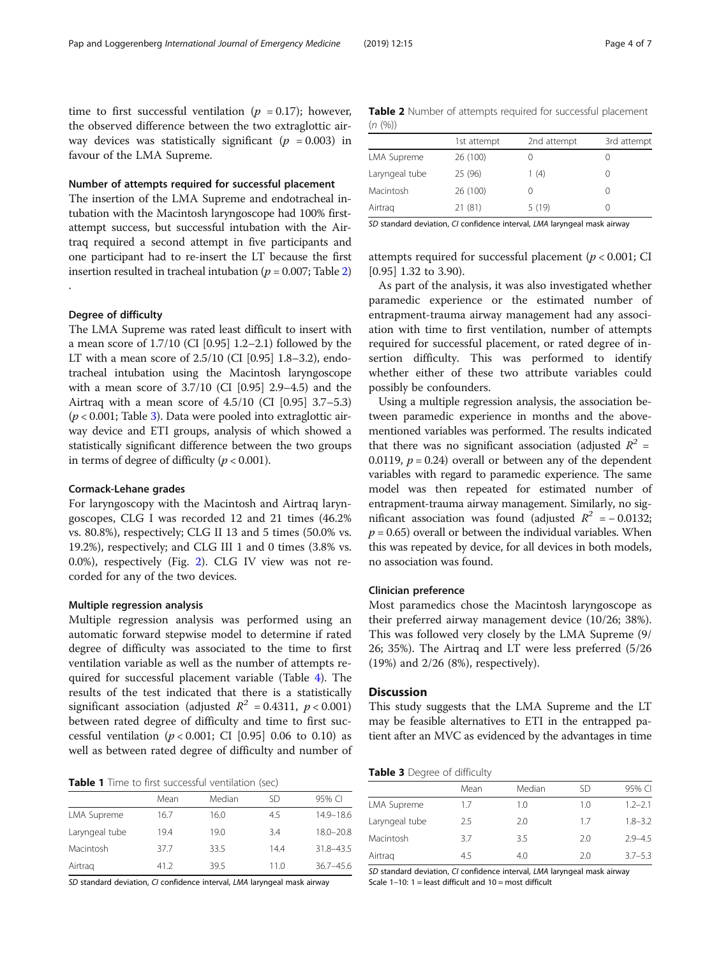<span id="page-3-0"></span>time to first successful ventilation ( $p = 0.17$ ); however, the observed difference between the two extraglottic airway devices was statistically significant ( $p = 0.003$ ) in favour of the LMA Supreme.

#### Number of attempts required for successful placement

The insertion of the LMA Supreme and endotracheal intubation with the Macintosh laryngoscope had 100% firstattempt success, but successful intubation with the Airtraq required a second attempt in five participants and one participant had to re-insert the LT because the first insertion resulted in tracheal intubation ( $p = 0.007$ ; Table 2)

#### Degree of difficulty

.

The LMA Supreme was rated least difficult to insert with a mean score of 1.7/10 (CI [0.95] 1.2–2.1) followed by the LT with a mean score of 2.5/10 (CI [0.95] 1.8–3.2), endotracheal intubation using the Macintosh laryngoscope with a mean score of 3.7/10 (CI [0.95] 2.9–4.5) and the Airtraq with a mean score of 4.5/10 (CI [0.95] 3.7–5.3)  $(p < 0.001$ ; Table 3). Data were pooled into extraglottic airway device and ETI groups, analysis of which showed a statistically significant difference between the two groups in terms of degree of difficulty ( $p < 0.001$ ).

#### Cormack-Lehane grades

For laryngoscopy with the Macintosh and Airtraq laryngoscopes, CLG I was recorded 12 and 21 times (46.2% vs. 80.8%), respectively; CLG II 13 and 5 times (50.0% vs. 19.2%), respectively; and CLG III 1 and 0 times (3.8% vs. 0.0%), respectively (Fig. [2](#page-4-0)). CLG IV view was not recorded for any of the two devices.

#### Multiple regression analysis

Multiple regression analysis was performed using an automatic forward stepwise model to determine if rated degree of difficulty was associated to the time to first ventilation variable as well as the number of attempts required for successful placement variable (Table [4\)](#page-4-0). The results of the test indicated that there is a statistically significant association (adjusted  $R^2$  = 0.4311,  $p < 0.001$ ) between rated degree of difficulty and time to first successful ventilation ( $p < 0.001$ ; CI [0.95] 0.06 to 0.10) as well as between rated degree of difficulty and number of

**Table 1** Time to first successful ventilation (sec)

|                | Mean | Median | SD   | 95% CI        |
|----------------|------|--------|------|---------------|
| LMA Supreme    | 16.7 | 16.0   | 4.5  | 14.9-18.6     |
| Laryngeal tube | 19.4 | 19.0   | 3.4  | $18.0 - 20.8$ |
| Macintosh      | 37.7 | 33.5   | 14.4 | 31.8-43.5     |
| Airtrag        | 41.2 | 39.5   | 11.0 | $36.7 - 45.6$ |

SD standard deviation, CI confidence interval, LMA laryngeal mask airway

Table 2 Number of attempts required for successful placement  $(n (%))$ 

| 2nd attempt<br>1st attempt<br>26 (100)<br>LMA Supreme<br>25 (96)<br>Laryngeal tube<br>1(4)<br>Macintosh<br>26 (100)<br>$\left( \right)$ |         |        |       |             |
|-----------------------------------------------------------------------------------------------------------------------------------------|---------|--------|-------|-------------|
|                                                                                                                                         |         |        |       | 3rd attempt |
|                                                                                                                                         |         |        |       |             |
|                                                                                                                                         |         |        |       |             |
|                                                                                                                                         |         |        |       |             |
|                                                                                                                                         | Airtrag | 21(81) | 5(19) |             |

SD standard deviation, CI confidence interval, LMA laryngeal mask airway

attempts required for successful placement ( $p < 0.001$ ; CI [0.95] 1.32 to 3.90).

As part of the analysis, it was also investigated whether paramedic experience or the estimated number of entrapment-trauma airway management had any association with time to first ventilation, number of attempts required for successful placement, or rated degree of insertion difficulty. This was performed to identify whether either of these two attribute variables could possibly be confounders.

Using a multiple regression analysis, the association between paramedic experience in months and the abovementioned variables was performed. The results indicated that there was no significant association (adjusted  $R^2$  = 0.0119,  $p = 0.24$ ) overall or between any of the dependent variables with regard to paramedic experience. The same model was then repeated for estimated number of entrapment-trauma airway management. Similarly, no significant association was found (adjusted  $R^2 = -0.0132$ ;  $p = 0.65$ ) overall or between the individual variables. When this was repeated by device, for all devices in both models, no association was found.

#### Clinician preference

Most paramedics chose the Macintosh laryngoscope as their preferred airway management device (10/26; 38%). This was followed very closely by the LMA Supreme (9/ 26; 35%). The Airtraq and LT were less preferred (5/26 (19%) and 2/26 (8%), respectively).

#### **Discussion**

This study suggests that the LMA Supreme and the LT may be feasible alternatives to ETI in the entrapped patient after an MVC as evidenced by the advantages in time

| Table 3 Degree of difficulty |
|------------------------------|
|------------------------------|

|                | Mean | Median | <b>SD</b> | 95% CI      |
|----------------|------|--------|-----------|-------------|
| LMA Supreme    | 1.7  | 1.0    | 1.0       | $1.2 - 2.1$ |
| Laryngeal tube | 2.5  | 2.0    | 17        | $1.8 - 3.2$ |
| Macintosh      | 3.7  | 3.5    | 2.0       | $2.9 - 4.5$ |
| Airtrag        | 4.5  | 4.0    | 2.0       | $3.7 - 5.3$ |

SD standard deviation, CI confidence interval, LMA laryngeal mask airway Scale  $1-10$ :  $1 =$  least difficult and  $10 =$  most difficult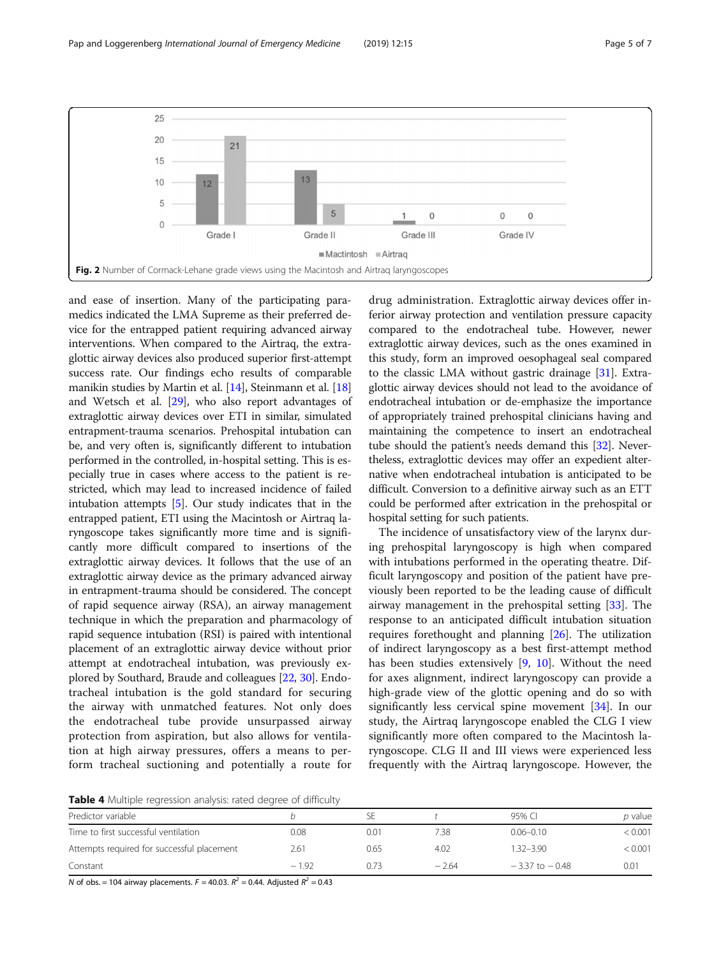and ease of insertion. Many of the participating paramedics indicated the LMA Supreme as their preferred device for the entrapped patient requiring advanced airway interventions. When compared to the Airtraq, the extraglottic airway devices also produced superior first-attempt success rate. Our findings echo results of comparable manikin studies by Martin et al. [[14](#page-6-0)], Steinmann et al. [[18](#page-6-0)] and Wetsch et al. [[29](#page-6-0)], who also report advantages of extraglottic airway devices over ETI in similar, simulated entrapment-trauma scenarios. Prehospital intubation can be, and very often is, significantly different to intubation performed in the controlled, in-hospital setting. This is especially true in cases where access to the patient is restricted, which may lead to increased incidence of failed intubation attempts [[5\]](#page-6-0). Our study indicates that in the entrapped patient, ETI using the Macintosh or Airtraq laryngoscope takes significantly more time and is significantly more difficult compared to insertions of the extraglottic airway devices. It follows that the use of an extraglottic airway device as the primary advanced airway in entrapment-trauma should be considered. The concept of rapid sequence airway (RSA), an airway management technique in which the preparation and pharmacology of rapid sequence intubation (RSI) is paired with intentional placement of an extraglottic airway device without prior attempt at endotracheal intubation, was previously explored by Southard, Braude and colleagues [\[22](#page-6-0), [30](#page-6-0)]. Endotracheal intubation is the gold standard for securing the airway with unmatched features. Not only does the endotracheal tube provide unsurpassed airway protection from aspiration, but also allows for ventilation at high airway pressures, offers a means to perform tracheal suctioning and potentially a route for

drug administration. Extraglottic airway devices offer inferior airway protection and ventilation pressure capacity compared to the endotracheal tube. However, newer extraglottic airway devices, such as the ones examined in this study, form an improved oesophageal seal compared to the classic LMA without gastric drainage [\[31\]](#page-6-0). Extraglottic airway devices should not lead to the avoidance of endotracheal intubation or de-emphasize the importance of appropriately trained prehospital clinicians having and maintaining the competence to insert an endotracheal tube should the patient's needs demand this [[32](#page-6-0)]. Nevertheless, extraglottic devices may offer an expedient alternative when endotracheal intubation is anticipated to be difficult. Conversion to a definitive airway such as an ETT could be performed after extrication in the prehospital or hospital setting for such patients.

The incidence of unsatisfactory view of the larynx during prehospital laryngoscopy is high when compared with intubations performed in the operating theatre. Difficult laryngoscopy and position of the patient have previously been reported to be the leading cause of difficult airway management in the prehospital setting [\[33](#page-6-0)]. The response to an anticipated difficult intubation situation requires forethought and planning [\[26](#page-6-0)]. The utilization of indirect laryngoscopy as a best first-attempt method has been studies extensively [\[9](#page-6-0), [10\]](#page-6-0). Without the need for axes alignment, indirect laryngoscopy can provide a high-grade view of the glottic opening and do so with significantly less cervical spine movement [\[34\]](#page-6-0). In our study, the Airtraq laryngoscope enabled the CLG I view significantly more often compared to the Macintosh laryngoscope. CLG II and III views were experienced less frequently with the Airtraq laryngoscope. However, the



| Predictor variable                         |         |      |        | 95% CI             | <i>p</i> value |
|--------------------------------------------|---------|------|--------|--------------------|----------------|
| Time to first successful ventilation       | 0.08    | 0.01 | 7.38   | $0.06 - 0.10$      | < 0.001        |
| Attempts required for successful placement | 2.61    | 0.65 | 4.02   | $1.32 - 3.90$      | < 0.001        |
| Constant                                   | $-1.92$ | J 73 | $-264$ | $-3.37$ to $-0.48$ | 0.01           |

N of obs. = 104 airway placements.  $F = 40.03$ .  $R^2 = 0.44$ . Adjusted  $R^2 = 0.43$ 

<span id="page-4-0"></span>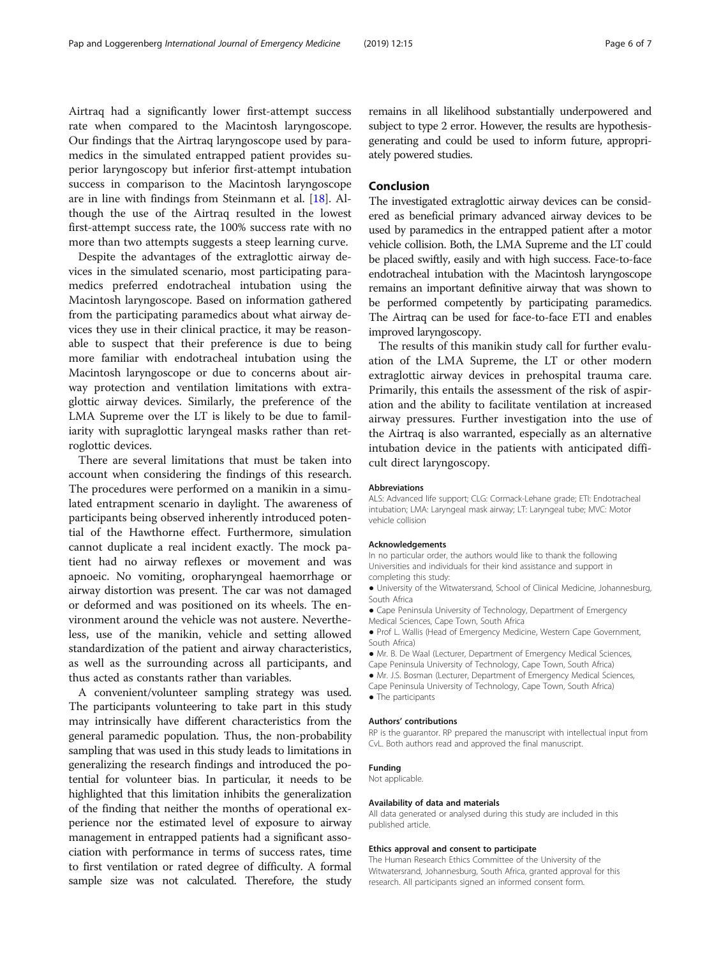Airtraq had a significantly lower first-attempt success rate when compared to the Macintosh laryngoscope. Our findings that the Airtraq laryngoscope used by paramedics in the simulated entrapped patient provides superior laryngoscopy but inferior first-attempt intubation success in comparison to the Macintosh laryngoscope are in line with findings from Steinmann et al. [[18](#page-6-0)]. Although the use of the Airtraq resulted in the lowest first-attempt success rate, the 100% success rate with no more than two attempts suggests a steep learning curve.

Despite the advantages of the extraglottic airway devices in the simulated scenario, most participating paramedics preferred endotracheal intubation using the Macintosh laryngoscope. Based on information gathered from the participating paramedics about what airway devices they use in their clinical practice, it may be reasonable to suspect that their preference is due to being more familiar with endotracheal intubation using the Macintosh laryngoscope or due to concerns about airway protection and ventilation limitations with extraglottic airway devices. Similarly, the preference of the LMA Supreme over the LT is likely to be due to familiarity with supraglottic laryngeal masks rather than retroglottic devices.

There are several limitations that must be taken into account when considering the findings of this research. The procedures were performed on a manikin in a simulated entrapment scenario in daylight. The awareness of participants being observed inherently introduced potential of the Hawthorne effect. Furthermore, simulation cannot duplicate a real incident exactly. The mock patient had no airway reflexes or movement and was apnoeic. No vomiting, oropharyngeal haemorrhage or airway distortion was present. The car was not damaged or deformed and was positioned on its wheels. The environment around the vehicle was not austere. Nevertheless, use of the manikin, vehicle and setting allowed standardization of the patient and airway characteristics, as well as the surrounding across all participants, and thus acted as constants rather than variables.

A convenient/volunteer sampling strategy was used. The participants volunteering to take part in this study may intrinsically have different characteristics from the general paramedic population. Thus, the non-probability sampling that was used in this study leads to limitations in generalizing the research findings and introduced the potential for volunteer bias. In particular, it needs to be highlighted that this limitation inhibits the generalization of the finding that neither the months of operational experience nor the estimated level of exposure to airway management in entrapped patients had a significant association with performance in terms of success rates, time to first ventilation or rated degree of difficulty. A formal sample size was not calculated. Therefore, the study remains in all likelihood substantially underpowered and subject to type 2 error. However, the results are hypothesisgenerating and could be used to inform future, appropriately powered studies.

#### Conclusion

The investigated extraglottic airway devices can be considered as beneficial primary advanced airway devices to be used by paramedics in the entrapped patient after a motor vehicle collision. Both, the LMA Supreme and the LT could be placed swiftly, easily and with high success. Face-to-face endotracheal intubation with the Macintosh laryngoscope remains an important definitive airway that was shown to be performed competently by participating paramedics. The Airtraq can be used for face-to-face ETI and enables improved laryngoscopy.

The results of this manikin study call for further evaluation of the LMA Supreme, the LT or other modern extraglottic airway devices in prehospital trauma care. Primarily, this entails the assessment of the risk of aspiration and the ability to facilitate ventilation at increased airway pressures. Further investigation into the use of the Airtraq is also warranted, especially as an alternative intubation device in the patients with anticipated difficult direct laryngoscopy.

#### Abbreviations

ALS: Advanced life support; CLG: Cormack-Lehane grade; ETI: Endotracheal intubation; LMA: Laryngeal mask airway; LT: Laryngeal tube; MVC: Motor vehicle collision

#### Acknowledgements

In no particular order, the authors would like to thank the following Universities and individuals for their kind assistance and support in completing this study:

- University of the Witwatersrand, School of Clinical Medicine, Johannesburg, South Africa
- Cape Peninsula University of Technology, Department of Emergency Medical Sciences, Cape Town, South Africa
- Prof L. Wallis (Head of Emergency Medicine, Western Cape Government, South Africa)
- Mr. B. De Waal (Lecturer, Department of Emergency Medical Sciences,
- Cape Peninsula University of Technology, Cape Town, South Africa)
- Mr. J.S. Bosman (Lecturer, Department of Emergency Medical Sciences,
- Cape Peninsula University of Technology, Cape Town, South Africa)
- The participants

#### Authors' contributions

RP is the guarantor. RP prepared the manuscript with intellectual input from CvL. Both authors read and approved the final manuscript.

#### Funding

Not applicable.

#### Availability of data and materials

All data generated or analysed during this study are included in this published article.

#### Ethics approval and consent to participate

The Human Research Ethics Committee of the University of the Witwatersrand, Johannesburg, South Africa, granted approval for this research. All participants signed an informed consent form.